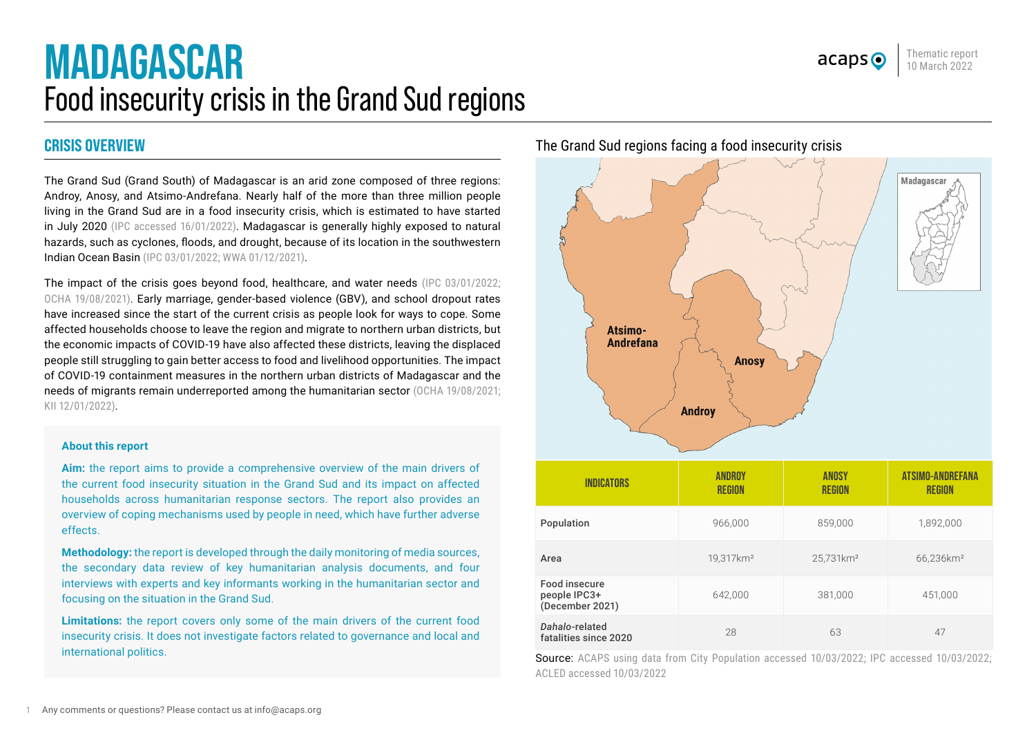# <span id="page-0-0"></span>**MADAGASCAR** Food insecurity crisis in the Grand Sud regions

# **CRISIS OVERVIEW**

The Grand Sud (Grand South) of Madagascar is an arid zone composed of three regions: Androy, Anosy, and Atsimo-Andrefana. Nearly half of the more than three million people living in the Grand Sud are in a food insecurity crisis, which is estimated to have started in July 2020 [\(IPC accessed 16/01/2022\)](https://www.ipcinfo.org/ipc-country-analysis/details-map/en/c/1155379/?iso3=MDG). Madagascar is generally highly exposed to natural hazards, such as cyclones, floods, and drought, because of its location in the southwestern Indian Ocean Basin [\(IPC 03/01/2022](https://reliefweb.int/report/madagascar/madagascar-grand-south-grand-south-east-ipc-food-security-nutrition-snapshot); [WWA 01/12/2021\)](https://www.worldweatherattribution.org/factors-other-than-climate-change-are-the-main-drivers-of-recent-food-insecurity-in-southern-madagascar/).

The impact of the crisis goes beyond food, healthcare, and water needs ([IPC 03/01/2022;](https://reliefweb.int/report/madagascar/madagascar-grand-south-grand-south-east-ipc-food-security-nutrition-snapshot) [OCHA 19/08/2021](https://reliefweb.int/report/madagascar/madagascar-grand-sud-flash-appeal-january-2021-may-2022-revised-june-2021)). Early marriage, gender-based violence (GBV), and school dropout rates have increased since the start of the current crisis as people look for ways to cope. Some affected households choose to leave the region and migrate to northern urban districts, but the economic impacts of COVID-19 have also affected these districts, leaving the displaced people still struggling to gain better access to food and livelihood opportunities. The impact of COVID-19 containment measures in the northern urban districts of Madagascar and the needs of migrants remain underreported among the humanitarian sector ([OCHA 19/08/](https://reliefweb.int/report/madagascar/madagascar-grand-sud-flash-appeal-january-2021-may-2022-revised-june-2021)2021; KII 12/01/2022).

#### **About this report**

**Aim:** the report aims to provide a comprehensive overview of the main drivers of the current food insecurity situation in the Grand Sud and its impact on affected households across humanitarian response sectors. The report also provides an overview of coping mechanisms used by people in need, which have further adverse effects.

**Methodology:** the report is developed through the daily monitoring of media sources, the secondary data review of key humanitarian analysis documents, and four interviews with experts and key informants working in the humanitarian sector and focusing on the situation in the Grand Sud.

**Limitations:** the report covers only some of the main drivers of the current food insecurity crisis. It does not investigate factors related to governance and local and international politics.

The Grand Sud regions facing a food insecurity crisis



Source: ACAPS using data from [City Population accessed 10/03/2022](https://www.citypopulation.de/en/madagascar/admin/); [IPC accessed 10/03/2022](https://www.ipcinfo.org/ipc-country-analysis/details-map/en/c/1155379/?iso3=MDG); [ACLED accessed 10/03/2022](https://acleddata.com/data-export-tool/)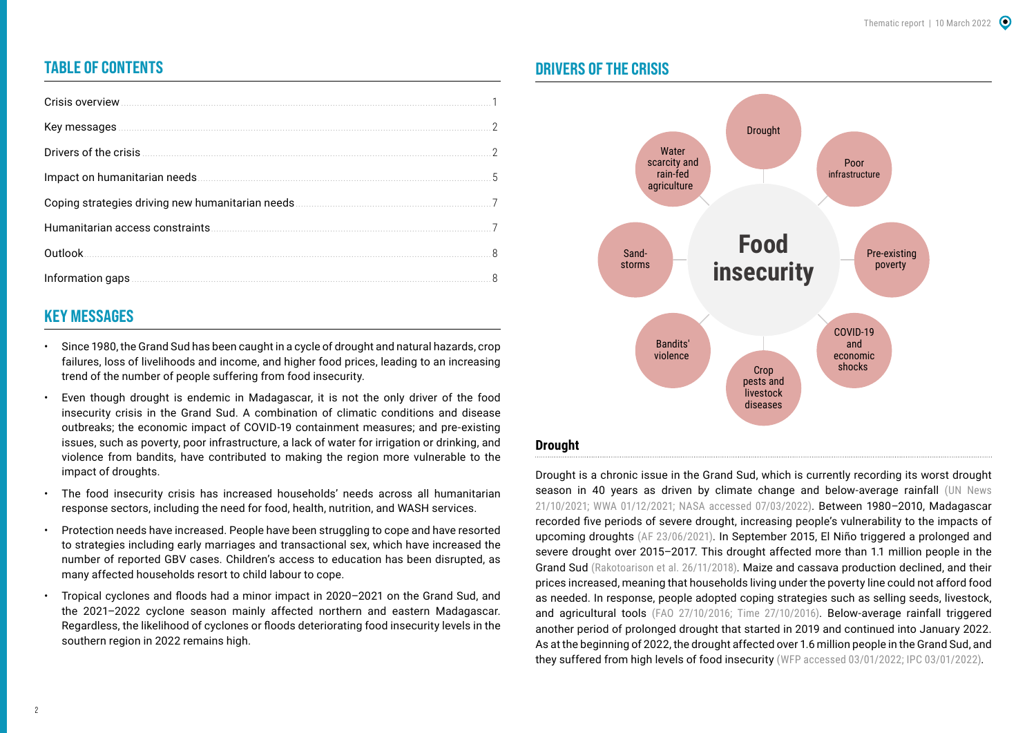# **TABLE OF CONTENTS**

| Crisis overview                                                                                                                                                                                                                     |                          |
|-------------------------------------------------------------------------------------------------------------------------------------------------------------------------------------------------------------------------------------|--------------------------|
|                                                                                                                                                                                                                                     | $\overline{\phantom{a}}$ |
| Drivers of the crisis <u>commences</u> and the crisis of the crisis of the crisis of the crisis of the crisis of the crisis of the crisis of the crisis of the crisis of the crisis of the crisis of the crisis of the crisis of th | 2                        |
| Impact on humanitarian needs                                                                                                                                                                                                        | 5                        |
| Coping strategies driving new humanitarian needs.                                                                                                                                                                                   | $\overline{7}$           |
|                                                                                                                                                                                                                                     |                          |
| Outlook.                                                                                                                                                                                                                            | 8                        |
| Information gaps                                                                                                                                                                                                                    | 8                        |

# **KEY MESSAGES**

- Since 1980, the Grand Sud has been caught in a cycle of drought and natural hazards, crop failures, loss of livelihoods and income, and higher food prices, leading to an increasing trend of the number of people suffering from food insecurity.
- Even though drought is endemic in Madagascar, it is not the only driver of the food insecurity crisis in the Grand Sud. A combination of climatic conditions and disease outbreaks; the economic impact of COVID-19 containment measures; and pre-existing issues, such as poverty, poor infrastructure, a lack of water for irrigation or drinking, and violence from bandits, have contributed to making the region more vulnerable to the impact of droughts.
- The food insecurity crisis has increased households' needs across all humanitarian response sectors, including the need for food, health, nutrition, and WASH services.
- Protection needs have increased. People have been struggling to cope and have resorted to strategies including early marriages and transactional sex, which have increased the number of reported GBV cases. Children's access to education has been disrupted, as many affected households resort to child labour to cope.
- Tropical cyclones and floods had a minor impact in 2020–2021 on the Grand Sud, and the 2021–2022 cyclone season mainly affected northern and eastern Madagascar. Regardless, the likelihood of cyclones or floods deteriorating food insecurity levels in the southern region in 2022 remains high.

## **DRIVERS OF THE CRISIS**



Drought is a chronic issue in the Grand Sud, which is currently recording its worst drought season in 40 years as driven by climate change and below-average rainfall (UN News [21/10/2021](https://news.un.org/en/story/2021/10/1103712); [WWA 01/12/2021;](https://www.worldweatherattribution.org/factors-other-than-climate-change-are-the-main-drivers-of-recent-food-insecurity-in-southern-madagascar/) [NASA accessed 07/03/2022\)](https://earthobservatory.nasa.gov/images/148636/drought-in-madagascar). Between 1980–2010, Madagascar recorded five periods of severe drought, increasing people's vulnerability to the impacts of upcoming droughts ([AF 23/06/2021](https://africafeeds.com/2021/06/23/madagascar-families-eating-mud-due-to-worst-drought-in-40-years/)). In September 2015, El Niño triggered a prolonged and severe drought over 2015–2017. This drought affected more than 1.1 million people in the Grand Sud [\(Rakotoarison et al. 26/11/2018\)](https://www.worldbank.org/en/country/madagascar/publication/madagascar-economic-update-covid-19-increases-poverty-a-new-reform-momentum-is-needed-to-build-back-stronger). Maize and cassava production declined, and their prices increased, meaning that households living under the poverty line could not afford food as needed. In response, people adopted coping strategies such as selling seeds, livestock, and agricultural tools ([FAO 27/10/2016](https://www.fao.org/news/story/en/item/449030/icode/); [Time 27/10/2016\)](https://time.com/4548729/sever-hunger-madagascar-drought-crop-failures/). Below-average rainfall triggered another period of prolonged drought that started in 2019 and continued into January 2022. As at the beginning of 2022, the drought affected over 1.6 million people in the Grand Sud, and they suffered from high levels of food insecurity [\(WFP accessed 03/01/2022;](https://www.wfp.org/countries/Madagascar?utm_source=google&utm_medium=cpc&utm_campaign=12704016415&utm_content=123606841155&gclid=EAIaIQobChMInvKK9oqW9QIVFuN3Ch3ebwEVEAAYASAAEgIi6PD_BwE&gclsrc=aw.ds) [IPC 03/01/2022](https://reliefweb.int/report/madagascar/madagascar-grand-south-grand-south-east-ipc-food-security-nutrition-snapshot)).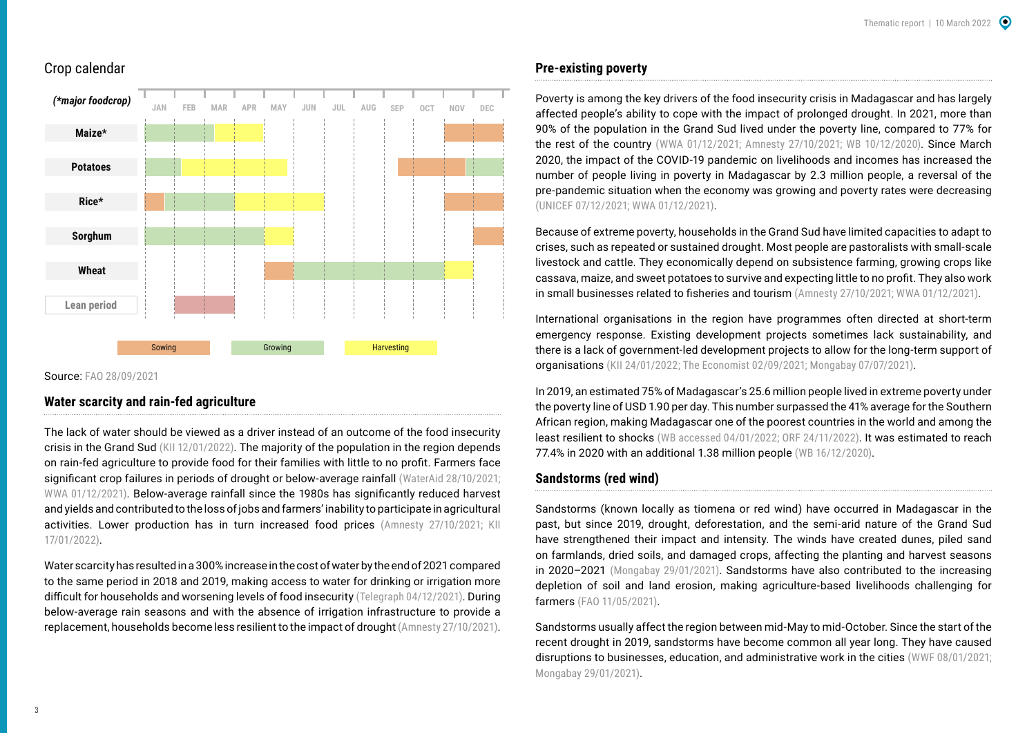## Crop calendar



Source: [FAO 28/09/2021](https://www.fao.org/giews/countrybrief/country.jsp?code=MDG)

## **Water scarcity and rain-fed agriculture**

The lack of water should be viewed as a driver instead of an outcome of the food insecurity crisis in the Grand Sud (KII 12/01/2022). The majority of the population in the region depends on rain-fed agriculture to provide food for their families with little to no profit. Farmers face significant crop failures in periods of drought or below-average rainfall (WaterAid 28/10/2021; [WWA 01/12/2021\)](https://www.worldweatherattribution.org/factors-other-than-climate-change-are-the-main-drivers-of-recent-food-insecurity-in-southern-madagascar/). Below-average rainfall since the 1980s has significantly reduced harvest and yields and contributed to the loss of jobs and farmers' inability to participate in agricultural activities. Lower production has in turn increased food prices [\(Amnesty 27/10/2021;](https://reliefweb.int/sites/reliefweb.int/files/resources/AFR3548742021ENGLISH.pdf) KII 17/01/2022).

Water scarcity has resulted in a 300% increase in the cost of water by the end of 2021 compared to the same period in 2018 and 2019, making access to water for drinking or irrigation more difficult for households and worsening levels of food insecurity [\(Telegraph 04/12/2021](https://www.telegraph.co.uk/global-health/climate-and-people/climate-change-famine-in-madagascar/)). During below-average rain seasons and with the absence of irrigation infrastructure to provide a replacement, households become less resilient to the impact of drought [\(Amnesty 27/10/2021\)](https://reliefweb.int/sites/reliefweb.int/files/resources/AFR3548742021ENGLISH.pdf).

## **Pre-existing poverty**

Poverty is among the key drivers of the food insecurity crisis in Madagascar and has largely affected people's ability to cope with the impact of prolonged drought. In 2021, more than 90% of the population in the Grand Sud lived under the poverty line, compared to 77% for the rest of the country ([WWA 01/12/2021;](https://www.worldweatherattribution.org/factors-other-than-climate-change-are-the-main-drivers-of-recent-food-insecurity-in-southern-madagascar/) [Amnesty 27/10/2021;](https://reliefweb.int/report/madagascar/it-will-be-too-late-help-us-once-we-are-dead-human-rights-impact-climate-change) WB 10/12/2020). Since March 2020, the impact of the COVID-19 pandemic on livelihoods and incomes has increased the number of people living in poverty in Madagascar by 2.3 million people, a reversal of the pre-pandemic situation when the economy was growing and poverty rates were decreasing ([UNICEF 07/12/2021;](https://reliefweb.int/report/madagascar/humanitarian-action-children-2022-madagascar) [WWA 01/12/2021\)](https://www.worldweatherattribution.org/factors-other-than-climate-change-are-the-main-drivers-of-recent-food-insecurity-in-southern-madagascar/).

Because of extreme poverty, households in the Grand Sud have limited capacities to adapt to crises, such as repeated or sustained drought. Most people are pastoralists with small-scale livestock and cattle. They economically depend on subsistence farming, growing crops like cassava, maize, and sweet potatoes to survive and expecting little to no profit. They also work in small businesses related to fisheries and tourism ([Amnesty 27/10/2021;](https://reliefweb.int/report/madagascar/it-will-be-too-late-help-us-once-we-are-dead-human-rights-impact-climate-change) [WWA 01/12/2021\)](https://www.worldweatherattribution.org/factors-other-than-climate-change-are-the-main-drivers-of-recent-food-insecurity-in-southern-madagascar/).

International organisations in the region have programmes often directed at short-term emergency response. Existing development projects sometimes lack sustainability, and there is a lack of government-led development projects to allow for the long-term support of organisations (KII 24/01/2022; [The Economist 02/09/2021](https://www.economist.com/middle-east-and-africa/madagascar-is-on-the-brink-of-famine/21804098); [Mongabay 07/07/2021](https://fr.mongabay.com/2021/07/madagascar-laridite-et-la-famine-gachent-la-vie-des-habitants-au-sud/)).

In 2019, an estimated 75% of Madagascar's 25.6 million people lived in extreme poverty under the poverty line of USD 1.90 per day. This number surpassed the 41% average for the Southern African region, making Madagascar one of the poorest countries in the world and among the least resilient to shocks (WB accessed 04/01/2022; [ORF 24/11/2022\)](https://www.orfonline.org/expert-speak/plight-of-madgascar-raging-famine-causes-rise-in-food-insecurity/). It was estimated to reach 77.4% in 2020 with an additional 1.38 million people [\(WB 16/12/2020\)](https://www.worldbank.org/en/country/madagascar/publication/madagascar-economic-update-covid-19-increases-poverty-a-new-reform-momentum-is-needed-to-build-back-stronger).

## **Sandstorms (red wind)**

Sandstorms (known locally as tiomena or red wind) have occurred in Madagascar in the past, but since 2019, drought, deforestation, and the semi-arid nature of the Grand Sud have strengthened their impact and intensity. The winds have created dunes, piled sand on farmlands, dried soils, and damaged crops, affecting the planting and harvest seasons in 2020–2021 ([Mongabay 29/01/2021\)](https://news.mongabay.com/2021/01/dusty-winds-exacerbate-looming-famine-in-madagascars-deep-south/). Sandstorms have also contributed to the increasing depletion of soil and land erosion, making agriculture-based livelihoods challenging for farmers [\(FAO 11/05/2021](https://reliefweb.int/sites/reliefweb.int/files/resources/cb4718en.pdf)).

Sandstorms usually affect the region between mid-May to mid-October. Since the start of the recent drought in 2019, sandstorms have become common all year long. They have caused disruptions to businesses, education, and administrative work in the cities ([WWF 08/01/2021](https://wwf.panda.org/wwf_news/?3363466/Madagascar-drought-famine-climate-change); [Mongabay 29/01/2021](https://news.mongabay.com/2021/01/dusty-winds-exacerbate-looming-famine-in-madagascars-deep-south/)).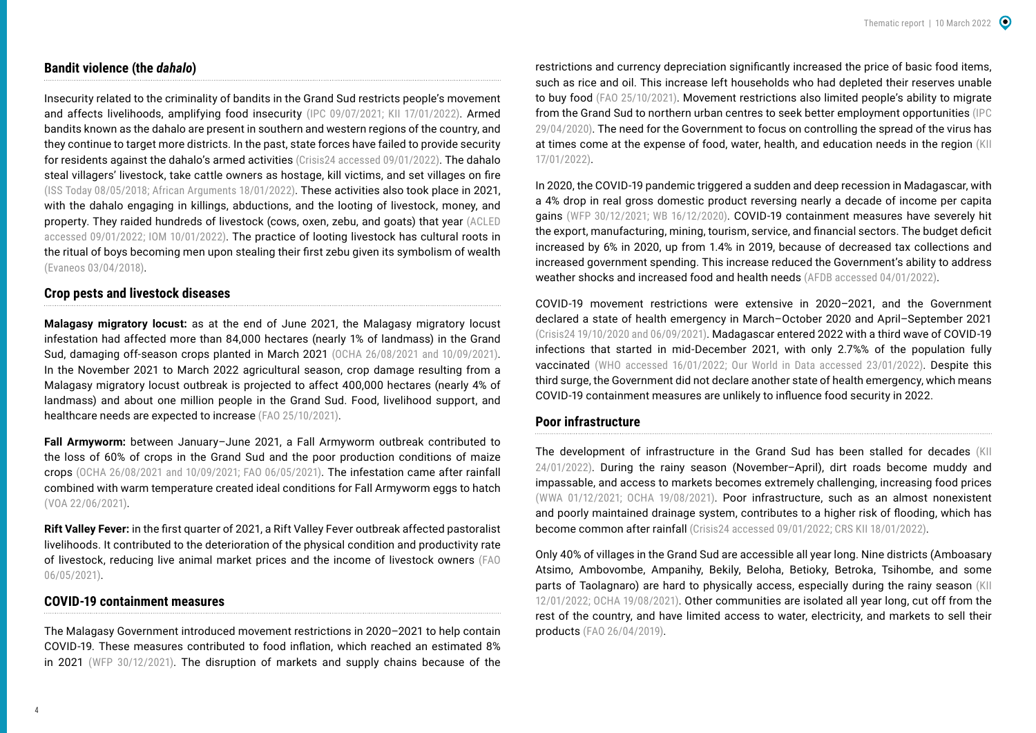## **Bandit violence (the** *dahalo***)**

Insecurity related to the criminality of bandits in the Grand Sud restricts people's movement and affects livelihoods, amplifying food insecurity ([IPC 09/07/2021](https://reliefweb.int/report/madagascar/madagascar-grand-south-ipc-acute-food-insecurity-analysis-april-december-2021); KII 17/01/2022). Armed bandits known as the dahalo are present in southern and western regions of the country, and they continue to target more districts. In the past, state forces have failed to provide security for residents against the dahalo's armed activities [\(Crisis24 accessed 09/01/2022](https://crisis24.garda.com/insights-intelligence/intelligence/country-reports/madagascar)). The dahalo steal villagers' livestock, take cattle owners as hostage, kill victims, and set villages on fire ([ISS Today 08/05/2018;](https://issafrica.org/iss-today/cattle-robbery-threatens-madagascars-peace-and-security) [African Arguments 18/01/2022\)](https://africanarguments.org/2022/01/the-forgotten-cascading-crisis-in-madagascar/). These activities also took place in 2021, with the dahalo engaging in killings, abductions, and the looting of livestock, money, and property. They raided hundreds of livestock (cows, oxen, zebu, and goats) that year [\(ACLED](https://acleddata.com/data-export-tool/)  [accessed 09/01/2022](https://acleddata.com/data-export-tool/); [IOM 10/01/2022\)](https://storyteller.iom.int/stories/building-peace-madagascars-stronghold-cattle-thieves). The practice of looting livestock has cultural roots in the ritual of boys becoming men upon stealing their first zebu given its symbolism of wealth [\(Evaneos 03/04/2018\)](https://www.evaneos.com/madagascar/holidays/discover/964-1-the-zebu-in-madagascar/).

#### **Crop pests and livestock diseases**

**Malagasy migratory locust:** as at the end of June 2021, the Malagasy migratory locust infestation had affected more than 84,000 hectares (nearly 1% of landmass) in the Grand Sud, damaging off-season crops planted in March 2021 [\(OCHA 26/08/2021](https://reliefweb.int/sites/reliefweb.int/files/resources/Madagascar_20210827_GrandSud_HumanitarianSnapshot%20%281%29.pdf) and [10/09/2021\)](https://reliefweb.int/sites/reliefweb.int/files/resources/Madagascar_20210923_Humanitarian_Response_Dashboard_Jun21.pdf). In the November 2021 to March 2022 agricultural season, crop damage resulting from a Malagasy migratory locust outbreak is projected to affect 400,000 hectares (nearly 4% of landmass) and about one million people in the Grand Sud. Food, livelihood support, and healthcare needs are expected to increase ([FAO 25/10/2021](https://reliefweb.int/report/madagascar/southern-madagascar-response-overview-october-2021)).

**Fall Armyworm:** between January–June 2021, a Fall Armyworm outbreak contributed to the loss of 60% of crops in the Grand Sud and the poor production conditions of maize crops ([OCHA 26/08/2021 and](https://reliefweb.int/sites/reliefweb.int/files/resources/Madagascar_20210827_GrandSud_HumanitarianSnapshot%20%281%29.pdf) [10/09/2021](https://reliefweb.int/sites/reliefweb.int/files/resources/Madagascar_20210923_Humanitarian_Response_Dashboard_Jun21.pdf); [FAO 06/05/2021\)](https://reliefweb.int/sites/reliefweb.int/files/resources/MDG_14.pdf). The infestation came after rainfall combined with warm temperature created ideal conditions for Fall Armyworm eggs to hatch ([VOA 22/06/2021](https://www.voanews.com/a/africa_wfp-catastrophic-hunger-descending-southern-madagascar/6207340.html)).

**Rift Valley Fever:** in the first quarter of 2021, a Rift Valley Fever outbreak affected pastoralist livelihoods. It contributed to the deterioration of the physical condition and productivity rate of livestock, reducing live animal market prices and the income of livestock owners ([FAO](https://reliefweb.int/report/madagascar/giews-country-brief-madagascar-06-may-2021)  [06/05/2021\)](https://reliefweb.int/report/madagascar/giews-country-brief-madagascar-06-may-2021).

#### **COVID-19 containment measures**

The Malagasy Government introduced movement restrictions in 2020–2021 to help contain COVID-19. These measures contributed to food inflation, which reached an estimated 8% in 2021 ([WFP 30/12/2021](https://reliefweb.int/report/madagascar/wfp-madagascar-country-brief-november-2021)). The disruption of markets and supply chains because of the restrictions and currency depreciation significantly increased the price of basic food items, such as rice and oil. This increase left households who had depleted their reserves unable to buy food [\(FAO 25/10/2021](https://reliefweb.int/report/madagascar/southern-madagascar-response-overview-october-2021)). Movement restrictions also limited people's ability to migrate from the Grand Sud to northern urban centres to seek better employment opportunities [\(IPC](https://reliefweb.int/sites/reliefweb.int/files/resources/IPC_Madagascar_AcuteFoodInsec_Projection_Update_2020AprilJuly_English.pdf)  [29/04/2020](https://reliefweb.int/sites/reliefweb.int/files/resources/IPC_Madagascar_AcuteFoodInsec_Projection_Update_2020AprilJuly_English.pdf)). The need for the Government to focus on controlling the spread of the virus has at times come at the expense of food, water, health, and education needs in the region (KII 17/01/2022).

In 2020, the COVID-19 pandemic triggered a sudden and deep recession in Madagascar, with a 4% drop in real gross domestic product reversing nearly a decade of income per capita gains ([WFP 30/12/2021;](https://reliefweb.int/report/madagascar/wfp-madagascar-country-brief-november-2021) [WB 16/12/2020](https://www.worldbank.org/en/country/madagascar/publication/madagascar-economic-update-covid-19-increases-poverty-a-new-reform-momentum-is-needed-to-build-back-stronger)). COVID-19 containment measures have severely hit the export, manufacturing, mining, tourism, service, and financial sectors. The budget deficit increased by 6% in 2020, up from 1.4% in 2019, because of decreased tax collections and increased government spending. This increase reduced the Government's ability to address weather shocks and increased food and health needs [\(AFDB accessed 04/01/2022\)](https://www.afdb.org/en/countries/southern-africa/madagascar/madagascar-economic-outlook).

COVID-19 movement restrictions were extensive in 2020–2021, and the Government declared a state of health emergency in March–October 2020 and April–September 2021 ([Crisis24 19/10/2020](https://www.garda.com/crisis24/news-alerts/390636/madagascar-authorities-announce-end-of-state-of-health-emergency-october-18-update-19) and [06/09/2021](https://crisis24.garda.com/alerts/2021/09/madagascar-officials-have-lifted-nationwide-covid-19-related-state-of-emergency-as-of-sept-6-update-34)). Madagascar entered 2022 with a third wave of COVID-19 infections that started in mid-December 2021, with only 2.7%% of the population fully vaccinated [\(WHO accessed 16/01/2022](https://covid19.who.int/region/afro/country/mg); [Our World in Data accessed 23/01/2022](https://ourworldindata.org/covid-vaccinations?country=MDG)). Despite this third surge, the Government did not declare another state of health emergency, which means COVID-19 containment measures are unlikely to influence food security in 2022.

## **Poor infrastructure**

The development of infrastructure in the Grand Sud has been stalled for decades (KII 24/01/2022). During the rainy season (November–April), dirt roads become muddy and impassable, and access to markets becomes extremely challenging, increasing food prices ([WWA 01/12/2021;](https://www.worldweatherattribution.org/factors-other-than-climate-change-are-the-main-drivers-of-recent-food-insecurity-in-southern-madagascar/) [OCHA 19/08/2021\)](https://reliefweb.int/report/madagascar/madagascar-grand-sud-flash-appeal-january-2021-may-2022-revised-june-2021). Poor infrastructure, such as an almost nonexistent and poorly maintained drainage system, contributes to a higher risk of flooding, which has become common after rainfall [\(Crisis24 accessed 09/01/2022;](https://crisis24.garda.com/insights-intelligence/intelligence/country-reports/madagascar) CRS KII 18/01/2022).

Only 40% of villages in the Grand Sud are accessible all year long. Nine districts (Amboasary Atsimo, Ambovombe, Ampanihy, Bekily, Beloha, Betioky, Betroka, Tsihombe, and some parts of Taolagnaro) are hard to physically access, especially during the rainy season (KII 12/01/2022; [OCHA 19/08/2021\)](https://reliefweb.int/sites/reliefweb.int/files/resources/Madagascar_20210819_GrandSud_FlashAppealRevision_June2021.pdf). Other communities are isolated all year long, cut off from the rest of the country, and have limited access to water, electricity, and markets to sell their products ([FAO 26/04/2019](https://www.fao.org/fao-stories/article/en/c/1190290/)).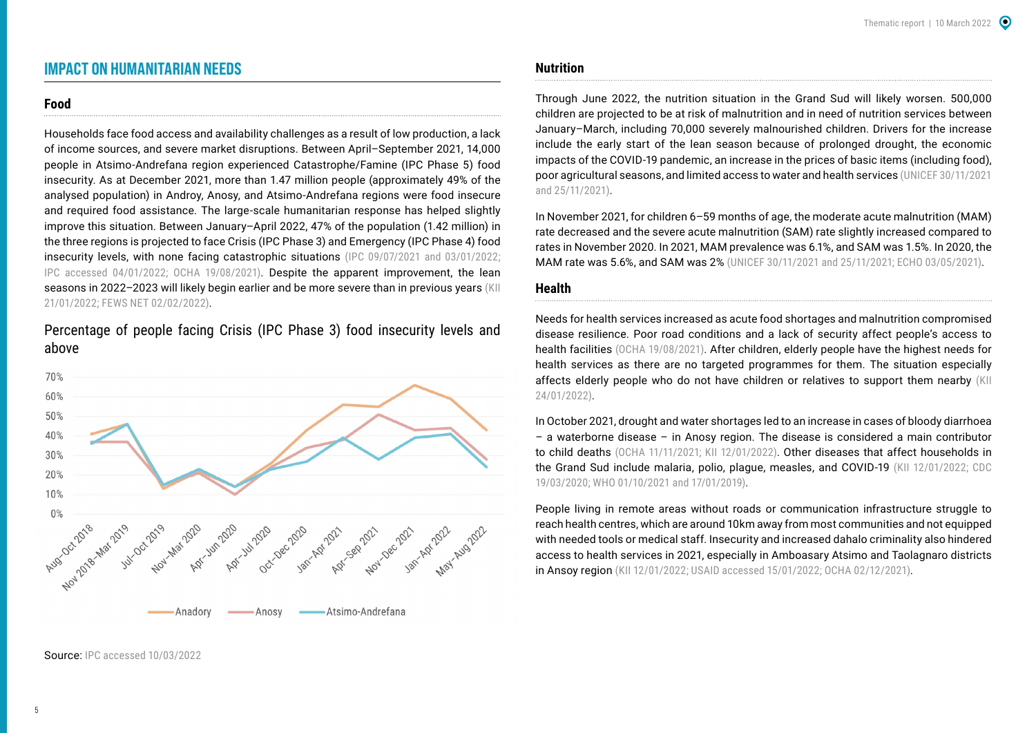# <span id="page-4-0"></span>**IMPACT ON HUMANITARIAN NEEDS**

#### **Food**

Households face food access and availability challenges as a result of low production, a lack of income sources, and severe market disruptions. Between April–September 2021, 14,000 people in Atsimo-Andrefana region experienced Catastrophe/Famine (IPC Phase 5) food insecurity. As at December 2021, more than 1.47 million people (approximately 49% of the analysed population) in Androy, Anosy, and Atsimo-Andrefana regions were food insecure and required food assistance. The large-scale humanitarian response has helped slightly improve this situation. Between January–April 2022, 47% of the population (1.42 million) in the three regions is projected to face Crisis (IPC Phase 3) and Emergency (IPC Phase 4) food insecurity levels, with none facing catastrophic situations [\(IPC 09/07/2021](https://reliefweb.int/report/madagascar/madagascar-grand-south-ipc-acute-food-insecurity-analysis-april-december-2021) and [03/01/2022;](https://reliefweb.int/report/madagascar/madagascar-grand-south-grand-south-east-ipc-food-security-nutrition-snapshot) [IPC accessed 04/01/2022;](https://www.ipcinfo.org/ipc-country-analysis/details-map/en/c/1155379/?iso3=MDG) [OCHA 19/08/2021](https://reliefweb.int/report/madagascar/madagascar-grand-sud-flash-appeal-january-2021-may-2022-revised-june-2021)). Despite the apparent improvement, the lean seasons in 2022-2023 will likely begin earlier and be more severe than in previous years (KII 21/01/2022; [FEWS NET 02/02/2022](https://reliefweb.int/sites/reliefweb.int/files/resources/ALERT_Madagascar_202201.pdf)).

Percentage of people facing Crisis (IPC Phase 3) food insecurity levels and above



#### Source: [IPC accessed 10/03/2022](https://www.ipcinfo.org/ipc-country-analysis/details-map/en/c/1155379/?iso3=MDG)

## **Nutrition**

Through June 2022, the nutrition situation in the Grand Sud will likely worsen. 500,000 children are projected to be at risk of malnutrition and in need of nutrition services between January–March, including 70,000 severely malnourished children. Drivers for the increase include the early start of the lean season because of prolonged drought, the economic impacts of the COVID-19 pandemic, an increase in the prices of basic items (including food), poor agricultural seasons, and limited access to water and health services ([UNICEF 30/11/2021](https://reliefweb.int/sites/reliefweb.int/files/resources/UNICEF%20Madagascar%20Humanitarian%20Situation%20Report%20No.%206%20-%20November%20%202021.pdf)  and [25/11/2021\)](https://reliefweb.int/sites/reliefweb.int/files/resources/UNICEF%20Madagascar%20Humanitarian%20Situation%20Report%20No.%205%20-%20October%202021.pdf).

In November 2021, for children 6–59 months of age, the moderate acute malnutrition (MAM) rate decreased and the severe acute malnutrition (SAM) rate slightly increased compared to rates in November 2020. In 2021, MAM prevalence was 6.1%, and SAM was 1.5%. In 2020, the MAM rate was 5.6%, and SAM was 2% ([UNICEF 30/11/2021](https://reliefweb.int/sites/reliefweb.int/files/resources/UNICEF%20Madagascar%20Humanitarian%20Situation%20Report%20No.%206%20-%20November%20%202021.pdf) and [25/11/2021](https://reliefweb.int/sites/reliefweb.int/files/resources/UNICEF%20Madagascar%20Humanitarian%20Situation%20Report%20No.%205%20-%20October%202021.pdf); [ECHO 03/05/2021\)](https://reliefweb.int/report/madagascar/madagascar-madagascar-food-and-nutrition-crisis-dg-echo-wfp-unicef-echo-daily).

#### **Health**

Needs for health services increased as acute food shortages and malnutrition compromised disease resilience. Poor road conditions and a lack of security affect people's access to health facilities ([OCHA 19/08/2021](https://reliefweb.int/report/madagascar/madagascar-grand-sud-flash-appeal-january-2021-may-2022-revised-june-2021)). After children, elderly people have the highest needs for health services as there are no targeted programmes for them. The situation especially affects elderly people who do not have children or relatives to support them nearby (KII 24/01/2022).

In October 2021, drought and water shortages led to an increase in cases of bloody diarrhoea – a waterborne disease – in Anosy region. The disease is considered a main contributor to child deaths [\(OCHA 11/11/2021](https://reliefweb.int/report/madagascar/madagascar-grand-sud-humanitarian-response-dashboard-january-october-2021); KII 12/01/2022). Other diseases that affect households in the Grand Sud include malaria, polio, plague, measles, and COVID-19 (KII 12/01/2022; CDC 19/03/2020; [WHO 01/10/2021 and](https://www.who.int/emergencies/disease-outbreak-news/item/plague---madagascar) [17/01/2019](https://reliefweb.int/report/madagascar/measles-madagascar-disease-outbreak-news-17-january-2019)).

People living in remote areas without roads or communication infrastructure struggle to reach health centres, which are around 10km away from most communities and not equipped with needed tools or medical staff. Insecurity and increased dahalo criminality also hindered access to health services in 2021, especially in Amboasary Atsimo and Taolagnaro districts in Ansoy region (KII 12/01/2022; [USAID accessed 15/01/2022](https://www.usaid.gov/madagascar/global-health); [OCHA 02/12/2021\)](https://reliefweb.int/report/world/global-humanitarian-overview-2022).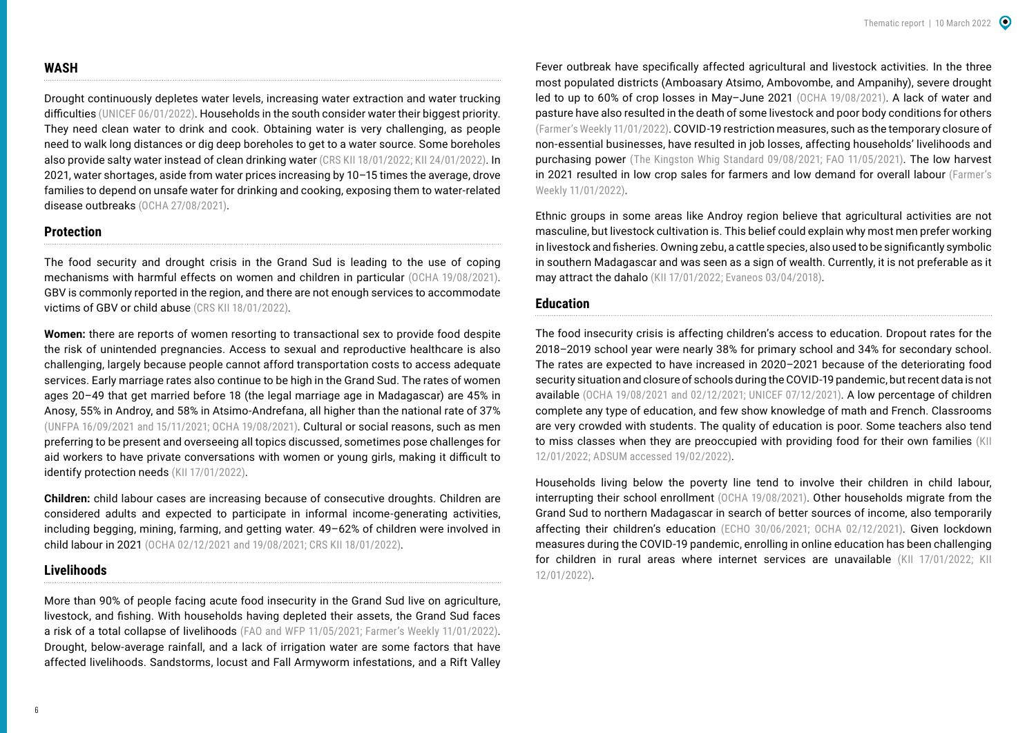#### **WASH**

Drought continuously depletes water levels, increasing water extraction and water trucking difficulties ([UNICEF 06/01/2022](https://reliefweb.int/report/madagascar/unicef-madagascar-humanitarian-situation-report-no-7-december-2021)). Households in the south consider water their biggest priority. They need clean water to drink and cook. Obtaining water is very challenging, as people need to walk long distances or dig deep boreholes to get to a water source. Some boreholes also provide salty water instead of clean drinking water (CRS KII 18/01/2022; KII 24/01/2022). In 2021, water shortages, aside from water prices increasing by 10–15 times the average, drove families to depend on unsafe water for drinking and cooking, exposing them to water-related disease outbreaks [\(OCHA 27/08/2021](https://reliefweb.int/report/madagascar/madagascar-grand-sud-humanitarian-snapshot-july-2021)).

#### **Protection**

The food security and drought crisis in the Grand Sud is leading to the use of coping mechanisms with harmful effects on women and children in particular ([OCHA 19/08/2021\)](https://reliefweb.int/sites/reliefweb.int/files/resources/Madagascar_20210819_GrandSud_FlashAppealRevision_June2021.pdf). GBV is commonly reported in the region, and there are not enough services to accommodate victims of GBV or child abuse (CRS KII 18/01/2022).

**Women:** there are reports of women resorting to transactional sex to provide food despite the risk of unintended pregnancies. Access to sexual and reproductive healthcare is also challenging, largely because people cannot afford transportation costs to access adequate services. Early marriage rates also continue to be high in the Grand Sud. The rates of women ages 20–49 that get married before 18 (the legal marriage age in Madagascar) are 45% in Anosy, 55% in Androy, and 58% in Atsimo-Andrefana, all higher than the national rate of 37% ([UNFPA 16/09/2021](https://esaro.unfpa.org/en/news/survival-strategies-put-lives-and-rights-women-and-girls-madagascars-drought-hit-grand-sud-risk) and [15/11/2021;](https://reliefweb.int/report/madagascar/unfpa-madagascar-country-office-situation-report-3) [OCHA 19/08/2021\)](https://reliefweb.int/sites/reliefweb.int/files/resources/Madagascar_20210819_GrandSud_FlashAppealRevision_June2021.pdf). Cultural or social reasons, such as men preferring to be present and overseeing all topics discussed, sometimes pose challenges for aid workers to have private conversations with women or young girls, making it difficult to identify protection needs (KII 17/01/2022).

**Children:** child labour cases are increasing because of consecutive droughts. Children are considered adults and expected to participate in informal income-generating activities, including begging, mining, farming, and getting water. 49–62% of children were involved in child labour in 2021 ([OCHA 02/12/2021](https://reliefweb.int/report/world/global-humanitarian-overview-2022) and [19/08/2021](https://reliefweb.int/report/madagascar/madagascar-grand-sud-flash-appeal-january-2021-may-2022-revised-june-2021); CRS KII 18/01/2022).

## **Livelihoods**

More than 90% of people facing acute food insecurity in the Grand Sud live on agriculture, livestock, and fishing. With households having depleted their assets, the Grand Sud faces a risk of a total collapse of livelihoods [\(FAO and WFP 11/05/2021;](https://reliefweb.int/report/madagascar/southern-madagascar-government-and-un-sound-alarm-famine-risk-urge-action) [Farmer's Weekly 11/01/2022\)](https://www.farmersweekly.co.za/opinion/by-invitation/southern-africas-hunger-hotspots/). Drought, below-average rainfall, and a lack of irrigation water are some factors that have affected livelihoods. Sandstorms, locust and Fall Armyworm infestations, and a Rift Valley

Fever outbreak have specifically affected agricultural and livestock activities. In the three most populated districts (Amboasary Atsimo, Ambovombe, and Ampanihy), severe drought led to up to 60% of crop losses in May–June 2021 [\(OCHA 19/08/2021](https://reliefweb.int/report/madagascar/madagascar-grand-sud-flash-appeal-january-2021-may-2022-revised-june-2021)). A lack of water and pasture have also resulted in the death of some livestock and poor body conditions for others ([Farmer's Weekly 11/01/2022\)](https://www.farmersweekly.co.za/opinion/by-invitation/southern-africas-hunger-hotspots/). COVID-19 restriction measures, such as the temporary closure of non-essential businesses, have resulted in job losses, affecting households' livelihoods and purchasing power ([The Kingston Whig Standard 09/08/2021;](https://www.thewhig.com/opinion/columnists/climate-and-covid-causing-food-insecurity-in-madagascar) [FAO 11/05/2021](https://reliefweb.int/report/madagascar/southern-madagascar-response-overview-may-2021)). The low harvest in 2021 resulted in low crop sales for farmers and low demand for overall labour [\(Farmer's](https://www.farmersweekly.co.za/opinion/by-invitation/southern-africas-hunger-hotspots/)  [Weekly 11/01/2022\)](https://www.farmersweekly.co.za/opinion/by-invitation/southern-africas-hunger-hotspots/).

Ethnic groups in some areas like Androy region believe that agricultural activities are not masculine, but livestock cultivation is. This belief could explain why most men prefer working in livestock and fisheries. Owning zebu, a cattle species, also used to be significantly symbolic in southern Madagascar and was seen as a sign of wealth. Currently, it is not preferable as it may attract the dahalo (KII 17/01/2022; [Evaneos 03/04/2018\)](https://www.evaneos.com/madagascar/holidays/discover/964-1-the-zebu-in-madagascar/).

#### **Education**

The food insecurity crisis is affecting children's access to education. Dropout rates for the 2018–2019 school year were nearly 38% for primary school and 34% for secondary school. The rates are expected to have increased in 2020–2021 because of the deteriorating food security situation and closure of schools during the COVID-19 pandemic, but recent data is not available [\(OCHA 19/08/2021](https://reliefweb.int/report/madagascar/madagascar-grand-sud-flash-appeal-january-2021-may-2022-revised-june-2021) and [02/12/2021](https://reliefweb.int/report/world/global-humanitarian-overview-2022); [UNICEF 07/12/2021\)](https://reliefweb.int/report/madagascar/humanitarian-action-children-2022-madagascar). A low percentage of children complete any type of education, and few show knowledge of math and French. Classrooms are very crowded with students. The quality of education is poor. Some teachers also tend to miss classes when they are preoccupied with providing food for their own families (KII 12/01/2022; [ADSUM accessed 19/02/2022](https://adsumfoundation.org/latest-news/School-Builds-and-School-Days-MadagascarInMay)).

Households living below the poverty line tend to involve their children in child labour, interrupting their school enrollment [\(OCHA 19/08/2021\)](https://reliefweb.int/report/madagascar/madagascar-grand-sud-flash-appeal-january-2021-may-2022-revised-june-2021). Other households migrate from the Grand Sud to northern Madagascar in search of better sources of income, also temporarily affecting their children's education ([ECHO 30/06/2021](https://reliefweb.int/report/madagascar/echo-factsheet-madagascar-last-updated-30062021); [OCHA 02/12/2021\)](https://reliefweb.int/report/world/global-humanitarian-overview-2022). Given lockdown measures during the COVID-19 pandemic, enrolling in online education has been challenging for children in rural areas where internet services are unavailable (KII 17/01/2022; KII 12/01/2022).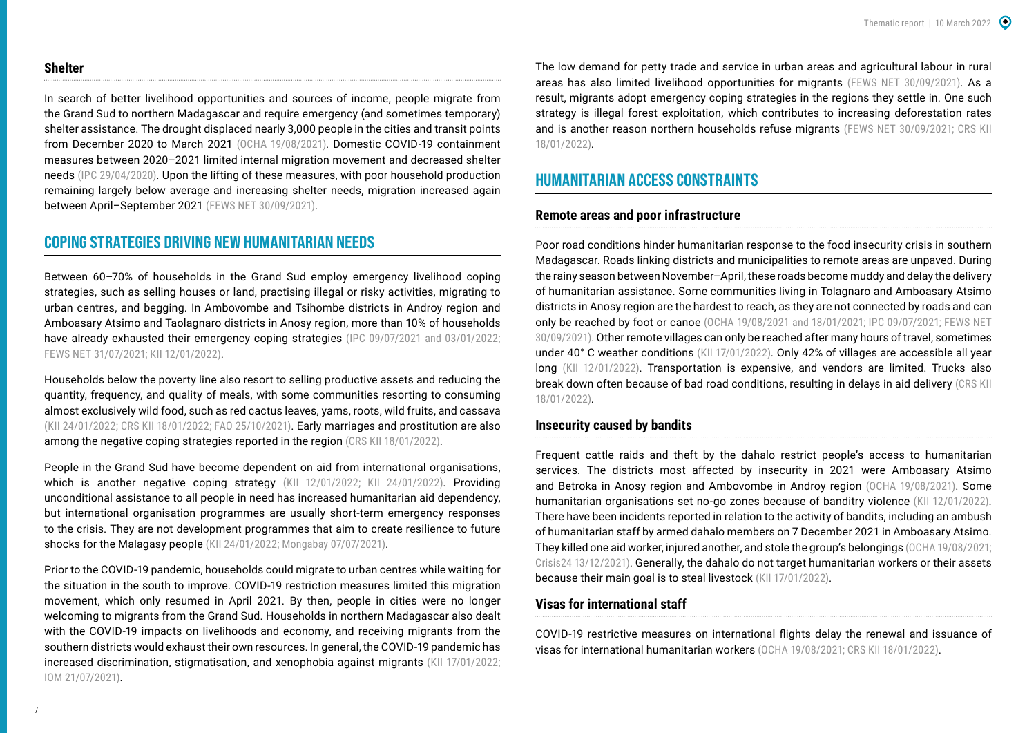#### <span id="page-6-0"></span>**Shelter**

In search of better livelihood opportunities and sources of income, people migrate from the Grand Sud to northern Madagascar and require emergency (and sometimes temporary) shelter assistance. The drought displaced nearly 3,000 people in the cities and transit points from December 2020 to March 2021 [\(OCHA 19/08/2021](https://reliefweb.int/report/madagascar/madagascar-grand-sud-flash-appeal-january-2021-may-2022-revised-june-2021)). Domestic COVID-19 containment measures between 2020–2021 limited internal migration movement and decreased shelter needs ([IPC 29/04/2020](https://reliefweb.int/sites/reliefweb.int/files/resources/IPC_Madagascar_AcuteFoodInsec_Projection_Update_2020AprilJuly_English.pdf)). Upon the lifting of these measures, with poor household production remaining largely below average and increasing shelter needs, migration increased again between April–September 2021 [\(FEWS NET 30/09/2021](https://reliefweb.int/report/madagascar/madagascar-key-message-update-poor-production-across-south-driving-above-average)).

## **COPING STRATEGIES DRIVING NEW HUMANITARIAN NEEDS**

Between 60–70% of households in the Grand Sud employ emergency livelihood coping strategies, such as selling houses or land, practising illegal or risky activities, migrating to urban centres, and begging. In Ambovombe and Tsihombe districts in Androy region and Amboasary Atsimo and Taolagnaro districts in Anosy region, more than 10% of households have already exhausted their emergency coping strategies [\(IPC 09/07/2021](https://reliefweb.int/report/madagascar/madagascar-grand-south-ipc-acute-food-insecurity-analysis-april-december-2021) and [03/01/2022;](https://reliefweb.int/report/madagascar/madagascar-grand-sud-grand-sud-est-analyse-de-l-ins-curit-alimentaire-aigu-et-de) [FEWS NET 31/07/2021](https://reliefweb.int/report/madagascar/madagascar-key-message-update-poor-production-continues-drive-high-prices-across); KII 12/01/2022).

Households below the poverty line also resort to selling productive assets and reducing the quantity, frequency, and quality of meals, with some communities resorting to consuming almost exclusively wild food, such as red cactus leaves, yams, roots, wild fruits, and cassava (KII 24/01/2022; CRS KII 18/01/2022; [FAO 25/10/2021\)](https://reliefweb.int/report/madagascar/southern-madagascar-response-overview-october-2021). Early marriages and prostitution are also among the negative coping strategies reported in the region (CRS KII 18/01/2022).

People in the Grand Sud have become dependent on aid from international organisations, which is another negative coping strategy (KII 12/01/2022; KII 24/01/2022). Providing unconditional assistance to all people in need has increased humanitarian aid dependency, but international organisation programmes are usually short-term emergency responses to the crisis. They are not development programmes that aim to create resilience to future shocks for the Malagasy people (KII 24/01/2022; [Mongabay 07/07/2021](https://fr.mongabay.com/2021/07/madagascar-laridite-et-la-famine-gachent-la-vie-des-habitants-au-sud/)).

Prior to the COVID-19 pandemic, households could migrate to urban centres while waiting for the situation in the south to improve. COVID-19 restriction measures limited this migration movement, which only resumed in April 2021. By then, people in cities were no longer welcoming to migrants from the Grand Sud. Households in northern Madagascar also dealt with the COVID-19 impacts on livelihoods and economy, and receiving migrants from the southern districts would exhaust their own resources. In general, the COVID-19 pandemic has increased discrimination, stigmatisation, and xenophobia against migrants (KII 17/01/2022; [IOM 21/07/2021\)](https://reliefweb.int/report/madagascar/iom-madagascar-annual-report-2020).

The low demand for petty trade and service in urban areas and agricultural labour in rural areas has also limited livelihood opportunities for migrants ([FEWS NET 30/09/2021\)](https://reliefweb.int/report/madagascar/madagascar-key-message-update-poor-production-across-south-driving-above-average). As a result, migrants adopt emergency coping strategies in the regions they settle in. One such strategy is illegal forest exploitation, which contributes to increasing deforestation rates and is another reason northern households refuse migrants ([FEWS NET 30/09/2021;](https://reliefweb.int/report/madagascar/madagascar-key-message-update-poor-production-across-south-driving-above-average) CRS KII 18/01/2022).

# **HUMANITARIAN ACCESS CONSTRAINTS**

#### **Remote areas and poor infrastructure**

Poor road conditions hinder humanitarian response to the food insecurity crisis in southern Madagascar. Roads linking districts and municipalities to remote areas are unpaved. During the rainy season between November–April, these roads become muddy and delay the delivery of humanitarian assistance. Some communities living in Tolagnaro and Amboasary Atsimo districts in Anosy region are the hardest to reach, as they are not connected by roads and can only be reached by foot or canoe ([OCHA 19/08/2021](https://reliefweb.int/report/madagascar/madagascar-grand-sud-flash-appeal-january-2021-may-2022-revised-june-2021) and [18/01/2021;](https://reliefweb.int/report/madagascar/madagascar-grand-sud-flash-appeal-january-may-2021) [IPC 09/07/2021](https://reliefweb.int/report/madagascar/madagascar-grand-south-ipc-acute-food-insecurity-analysis-april-december-2021); [FEWS NET](https://fews.net/southern-africa/madagascar/key-message-update/september-2021)  [30/09/2021\)](https://fews.net/southern-africa/madagascar/key-message-update/september-2021). Other remote villages can only be reached after many hours of travel, sometimes under 40° C weather conditions (KII 17/01/2022). Only 42% of villages are accessible all year long (KII 12/01/2022). Transportation is expensive, and vendors are limited. Trucks also break down often because of bad road conditions, resulting in delays in aid delivery (CRS KII 18/01/2022).

#### **Insecurity caused by bandits**

Frequent cattle raids and theft by the dahalo restrict people's access to humanitarian services. The districts most affected by insecurity in 2021 were Amboasary Atsimo and Betroka in Anosy region and Ambovombe in Androy region [\(OCHA 19/08/2021\)](https://reliefweb.int/report/madagascar/madagascar-grand-sud-flash-appeal-january-2021-may-2022-revised-june-2021). Some humanitarian organisations set no-go zones because of banditry violence (KII 12/01/2022). There have been incidents reported in relation to the activity of bandits, including an ambush of humanitarian staff by armed dahalo members on 7 December 2021 in Amboasary Atsimo. They killed one aid worker, injured another, and stole the group's belongings ([OCHA 19/08/2021](https://reliefweb.int/report/madagascar/madagascar-grand-sud-flash-appeal-january-2021-may-2022-revised-june-2021); [Crisis24 13/12/2021\)](https://crisis24.garda.com/insights-intelligence/intelligence/risk-alerts/wip1001340591/madagascar-insecurity-likely-to-persist-in-southern-regions-through-at-least-mid-january-due-to-severe-drought). Generally, the dahalo do not target humanitarian workers or their assets because their main goal is to steal livestock (KII 17/01/2022).

#### **Visas for international staff**

COVID-19 restrictive measures on international flights delay the renewal and issuance of visas for international humanitarian workers ([OCHA 19/08/2021;](https://reliefweb.int/report/madagascar/madagascar-grand-sud-flash-appeal-january-2021-may-2022-revised-june-2021) CRS KII 18/01/2022).